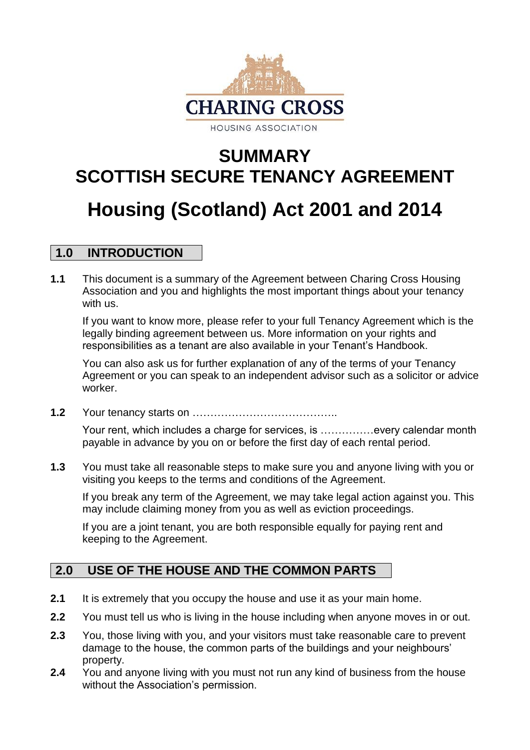

# **SUMMARY SCOTTISH SECURE TENANCY AGREEMENT Housing (Scotland) Act 2001 and 2014**

## **1.0 INTRODUCTION**

**1.1** This document is a summary of the Agreement between Charing Cross Housing Association and you and highlights the most important things about your tenancy with us.

If you want to know more, please refer to your full Tenancy Agreement which is the legally binding agreement between us. More information on your rights and responsibilities as a tenant are also available in your Tenant's Handbook.

You can also ask us for further explanation of any of the terms of your Tenancy Agreement or you can speak to an independent advisor such as a solicitor or advice worker.

**1.2** Your tenancy starts on …………………………………..

Your rent, which includes a charge for services, is ……………every calendar month payable in advance by you on or before the first day of each rental period.

**1.3** You must take all reasonable steps to make sure you and anyone living with you or visiting you keeps to the terms and conditions of the Agreement.

If you break any term of the Agreement, we may take legal action against you. This may include claiming money from you as well as eviction proceedings.

If you are a joint tenant, you are both responsible equally for paying rent and keeping to the Agreement.

# **2.0 USE OF THE HOUSE AND THE COMMON PARTS**

- **2.1** It is extremely that you occupy the house and use it as your main home.
- **2.2** You must tell us who is living in the house including when anyone moves in or out.
- **2.3** You, those living with you, and your visitors must take reasonable care to prevent damage to the house, the common parts of the buildings and your neighbours' property.
- **2.4** You and anyone living with you must not run any kind of business from the house without the Association's permission.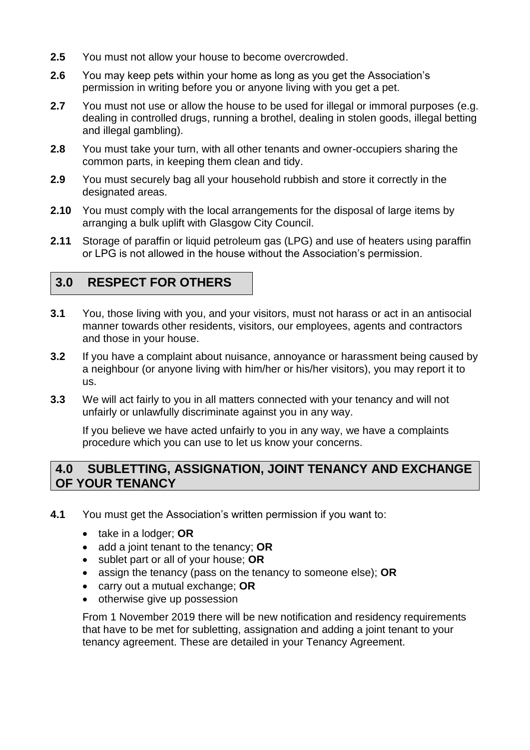- **2.5** You must not allow your house to become overcrowded.
- **2.6** You may keep pets within your home as long as you get the Association's permission in writing before you or anyone living with you get a pet.
- **2.7** You must not use or allow the house to be used for illegal or immoral purposes (e.g. dealing in controlled drugs, running a brothel, dealing in stolen goods, illegal betting and illegal gambling).
- **2.8** You must take your turn, with all other tenants and owner-occupiers sharing the common parts, in keeping them clean and tidy.
- **2.9** You must securely bag all your household rubbish and store it correctly in the designated areas.
- **2.10** You must comply with the local arrangements for the disposal of large items by arranging a bulk uplift with Glasgow City Council.
- **2.11** Storage of paraffin or liquid petroleum gas (LPG) and use of heaters using paraffin or LPG is not allowed in the house without the Association's permission.

## **3.0 RESPECT FOR OTHERS**

- **3.1** You, those living with you, and your visitors, must not harass or act in an antisocial manner towards other residents, visitors, our employees, agents and contractors and those in your house.
- **3.2** If you have a complaint about nuisance, annoyance or harassment being caused by a neighbour (or anyone living with him/her or his/her visitors), you may report it to us.
- **3.3** We will act fairly to you in all matters connected with your tenancy and will not unfairly or unlawfully discriminate against you in any way.

If you believe we have acted unfairly to you in any way, we have a complaints procedure which you can use to let us know your concerns.

## **4.0 SUBLETTING, ASSIGNATION, JOINT TENANCY AND EXCHANGE OF YOUR TENANCY**

- **4.1** You must get the Association's written permission if you want to:
	- take in a lodger; **OR**
	- add a joint tenant to the tenancy; **OR**
	- sublet part or all of your house; **OR**
	- assign the tenancy (pass on the tenancy to someone else); **OR**
	- carry out a mutual exchange; **OR**
	- otherwise give up possession

From 1 November 2019 there will be new notification and residency requirements that have to be met for subletting, assignation and adding a joint tenant to your tenancy agreement. These are detailed in your Tenancy Agreement.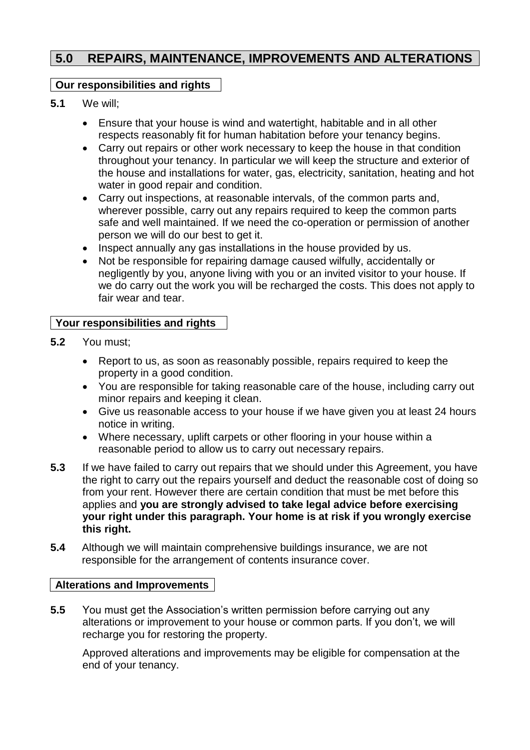## **5.0 REPAIRS, MAINTENANCE, IMPROVEMENTS AND ALTERATIONS**

#### **Our responsibilities and rights**

- **5.1** We will;
	- Ensure that your house is wind and watertight, habitable and in all other respects reasonably fit for human habitation before your tenancy begins.
	- Carry out repairs or other work necessary to keep the house in that condition throughout your tenancy. In particular we will keep the structure and exterior of the house and installations for water, gas, electricity, sanitation, heating and hot water in good repair and condition.
	- Carry out inspections, at reasonable intervals, of the common parts and, wherever possible, carry out any repairs required to keep the common parts safe and well maintained. If we need the co-operation or permission of another person we will do our best to get it.
	- Inspect annually any gas installations in the house provided by us.
	- Not be responsible for repairing damage caused wilfully, accidentally or negligently by you, anyone living with you or an invited visitor to your house. If we do carry out the work you will be recharged the costs. This does not apply to fair wear and tear.

#### **Your responsibilities and rights**

- **5.2** You must;
	- Report to us, as soon as reasonably possible, repairs required to keep the property in a good condition.
	- You are responsible for taking reasonable care of the house, including carry out minor repairs and keeping it clean.
	- Give us reasonable access to your house if we have given you at least 24 hours notice in writing.
	- Where necessary, uplift carpets or other flooring in your house within a reasonable period to allow us to carry out necessary repairs.
- **5.3** If we have failed to carry out repairs that we should under this Agreement, you have the right to carry out the repairs yourself and deduct the reasonable cost of doing so from your rent. However there are certain condition that must be met before this applies and **you are strongly advised to take legal advice before exercising your right under this paragraph. Your home is at risk if you wrongly exercise this right.**
- **5.4** Although we will maintain comprehensive buildings insurance, we are not responsible for the arrangement of contents insurance cover.

#### **Alterations and Improvements**

**5.5** You must get the Association's written permission before carrying out any alterations or improvement to your house or common parts. If you don't, we will recharge you for restoring the property.

Approved alterations and improvements may be eligible for compensation at the end of your tenancy.